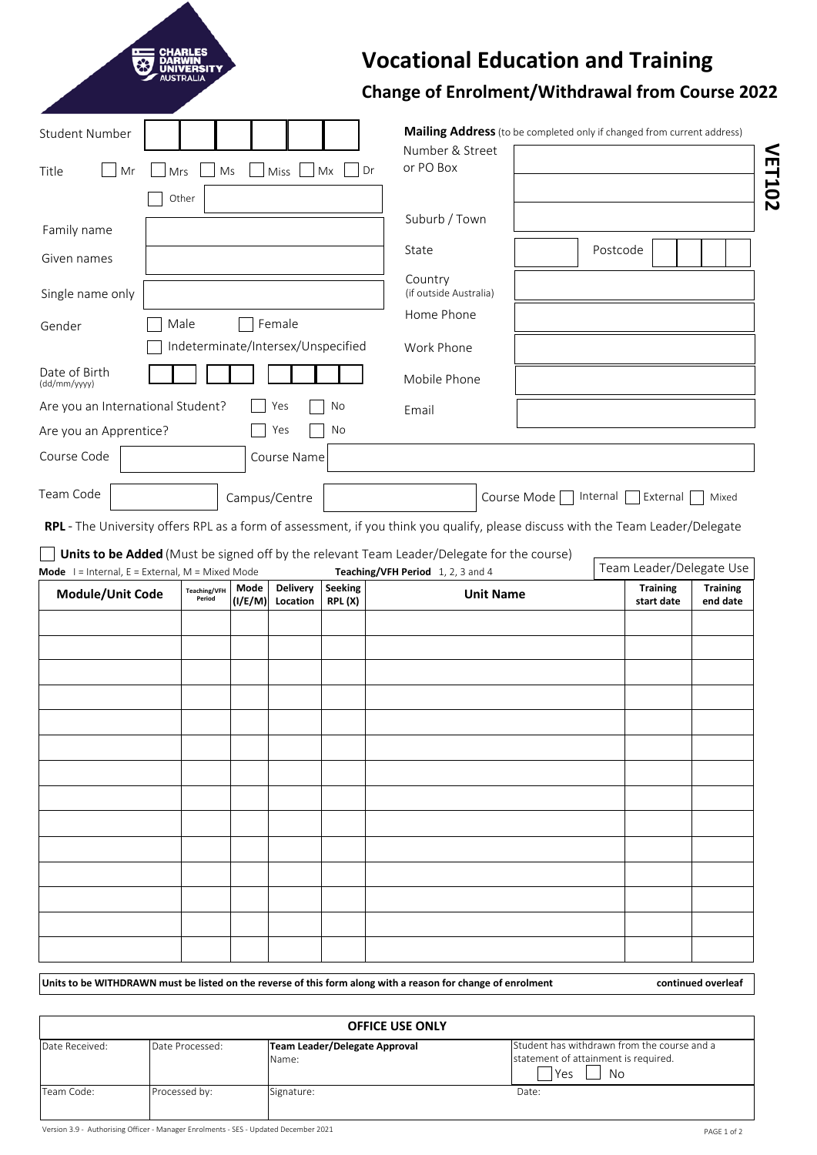| <b>Student Number</b>                                                                                                                                                                                                       |                               |                 |                                    |                          | Mailing Address (to be completed only if changed from current address)                                                          |             |                               |                             |
|-----------------------------------------------------------------------------------------------------------------------------------------------------------------------------------------------------------------------------|-------------------------------|-----------------|------------------------------------|--------------------------|---------------------------------------------------------------------------------------------------------------------------------|-------------|-------------------------------|-----------------------------|
| Title<br>Mr                                                                                                                                                                                                                 | Ms<br>Mrs                     |                 | Miss                               | Mx<br>Dr                 | Number & Street<br>or PO Box                                                                                                    |             |                               |                             |
|                                                                                                                                                                                                                             | Other                         |                 |                                    |                          |                                                                                                                                 |             |                               |                             |
| Family name                                                                                                                                                                                                                 |                               |                 |                                    |                          | Suburb / Town                                                                                                                   |             |                               |                             |
| Given names                                                                                                                                                                                                                 |                               |                 |                                    | State                    |                                                                                                                                 | Postcode    |                               |                             |
| Single name only                                                                                                                                                                                                            |                               |                 | Country<br>(if outside Australia)  |                          |                                                                                                                                 |             |                               |                             |
| Gender                                                                                                                                                                                                                      | Male                          |                 | Female                             |                          | Home Phone                                                                                                                      |             |                               |                             |
|                                                                                                                                                                                                                             |                               |                 | Indeterminate/Intersex/Unspecified |                          | Work Phone                                                                                                                      |             |                               |                             |
| Date of Birth<br>(dd/mm/yyyy)                                                                                                                                                                                               |                               |                 |                                    |                          | Mobile Phone                                                                                                                    |             |                               |                             |
| Are you an International Student?                                                                                                                                                                                           |                               |                 | Yes                                | No                       | Email                                                                                                                           |             |                               |                             |
| Are you an Apprentice?                                                                                                                                                                                                      |                               |                 | Yes                                | No                       |                                                                                                                                 |             |                               |                             |
|                                                                                                                                                                                                                             |                               |                 | Course Name                        |                          |                                                                                                                                 |             |                               |                             |
|                                                                                                                                                                                                                             |                               |                 | Campus/Centre                      |                          |                                                                                                                                 | Course Mode | Internal<br>External          | Mixed                       |
|                                                                                                                                                                                                                             |                               |                 |                                    |                          | Units to be Added (Must be signed off by the relevant Team Leader/Delegate for the course)<br>Teaching/VFH Period 1, 2, 3 and 4 |             | Team Leader/Delegate Use      |                             |
| Module/Unit Code                                                                                                                                                                                                            | <b>Teaching/VFH</b><br>Period | Mode<br>(I/E/M) | <b>Delivery</b><br>Location        | <b>Seeking</b><br>RPL(X) | <b>Unit Name</b>                                                                                                                |             | <b>Training</b><br>start date | <b>Training</b><br>end date |
|                                                                                                                                                                                                                             |                               |                 |                                    |                          |                                                                                                                                 |             |                               |                             |
|                                                                                                                                                                                                                             |                               |                 |                                    |                          |                                                                                                                                 |             |                               |                             |
|                                                                                                                                                                                                                             |                               |                 |                                    |                          |                                                                                                                                 |             |                               |                             |
|                                                                                                                                                                                                                             |                               |                 |                                    |                          |                                                                                                                                 |             |                               |                             |
|                                                                                                                                                                                                                             |                               |                 |                                    |                          |                                                                                                                                 |             |                               |                             |
|                                                                                                                                                                                                                             |                               |                 |                                    |                          |                                                                                                                                 |             |                               |                             |
|                                                                                                                                                                                                                             |                               |                 |                                    |                          |                                                                                                                                 |             |                               |                             |
|                                                                                                                                                                                                                             |                               |                 |                                    |                          |                                                                                                                                 |             |                               |                             |
|                                                                                                                                                                                                                             |                               |                 |                                    |                          |                                                                                                                                 |             |                               |                             |
|                                                                                                                                                                                                                             |                               |                 |                                    |                          |                                                                                                                                 |             |                               |                             |
| Course Code<br>Team Code<br>RPL - The University offers RPL as a form of assessment, if you think you qualify, please discuss with the Team Leader/Delegate<br><b>Mode</b> $I =$ Internal, $E =$ External, $M =$ Mixed Mode |                               |                 |                                    |                          |                                                                                                                                 |             |                               |                             |

| <b>OFFICE USE ONLY</b> |                 |                                        |                                                                                                    |  |
|------------------------|-----------------|----------------------------------------|----------------------------------------------------------------------------------------------------|--|
| Date Received:         | Date Processed: | Team Leader/Delegate Approval<br>Name: | Student has withdrawn from the course and a<br>statement of attainment is required.<br>l Yes<br>No |  |
| Team Code:             | Processed by:   | Signature:                             | Date:                                                                                              |  |